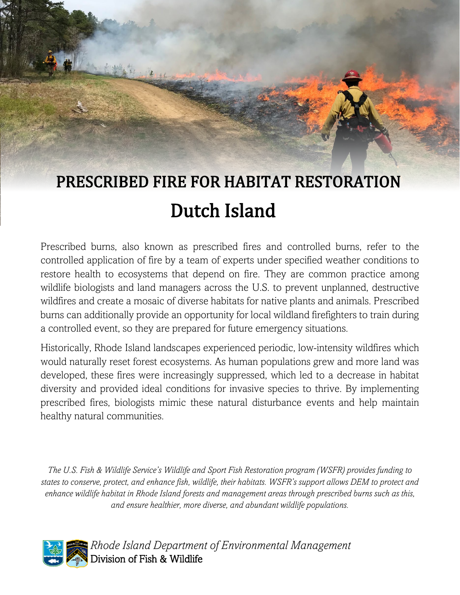# PRESCRIBED FIRE FOR HABITAT RESTORATION Dutch Island

Prescribed burns, also known as prescribed fires and controlled burns, refer to the controlled application of fire by a team of experts under specified weather conditions to restore health to ecosystems that depend on fire. They are common practice among wildlife biologists and land managers across the U.S. to prevent unplanned, destructive wildfires and create a mosaic of diverse habitats for native plants and animals. Prescribed burns can additionally provide an opportunity for local wildland firefighters to train during a controlled event, so they are prepared for future emergency situations.

Historically, Rhode Island landscapes experienced periodic, low-intensity wildfires which would naturally reset forest ecosystems. As human populations grew and more land was developed, these fires were increasingly suppressed, which led to a decrease in habitat diversity and provided ideal conditions for invasive species to thrive. By implementing prescribed fires, biologists mimic these natural disturbance events and help maintain healthy natural communities.

*The U.S. Fish & Wildlife Service's Wildlife and Sport Fish Restoration program (WSFR) provides funding to states to conserve, protect, and enhance fish, wildlife, their habitats. WSFR's support allows DEM to protect and enhance wildlife habitat in Rhode Island forests and management areas through prescribed burns such as this, and ensure healthier, more diverse, and abundant wildlife populations.*



 *Rhode Island Department of Environmental Management* Division of Fish & Wildlife